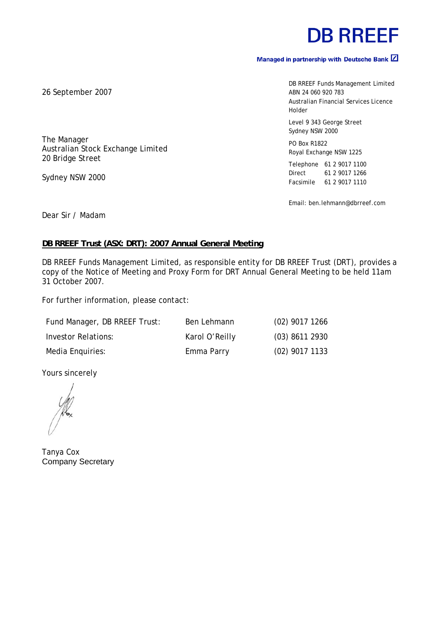# **DB RREEF**

## Managed in partnership with Deutsche Bank  $\boxed{2}$

DB RREEF Funds Management Limited ABN 24 060 920 783 Australian Financial Services Licence Holder Level 9 343 George Street Sydney NSW 2000 PO Box R1822 Royal Exchange NSW 1225

Telephone 61 2 9017 1100 Direct 61 2 9017 1266 Facsimile 61 2 9017 1110

Email: ben.lehmann@dbrreef.com

Dear Sir / Madam

#### **DB RREEF Trust (ASX: DRT): 2007 Annual General Meeting**

DB RREEF Funds Management Limited, as responsible entity for DB RREEF Trust (DRT), provides a copy of the Notice of Meeting and Proxy Form for DRT Annual General Meeting to be held 11am 31 October 2007.

For further information, please contact:

| Fund Manager, DB RREEF Trust: | Ben Lehmann    | $(02)$ 9017 1266 |
|-------------------------------|----------------|------------------|
| Investor Relations:           | Karol O'Reilly | $(03)$ 8611 2930 |
| Media Enquiries:              | Emma Parry     | $(02)$ 9017 1133 |

Yours sincerely

Tanya Cox Company Secretary

26 September 2007

The Manager

20 Bridge Street

Sydney NSW 2000

Australian Stock Exchange Limited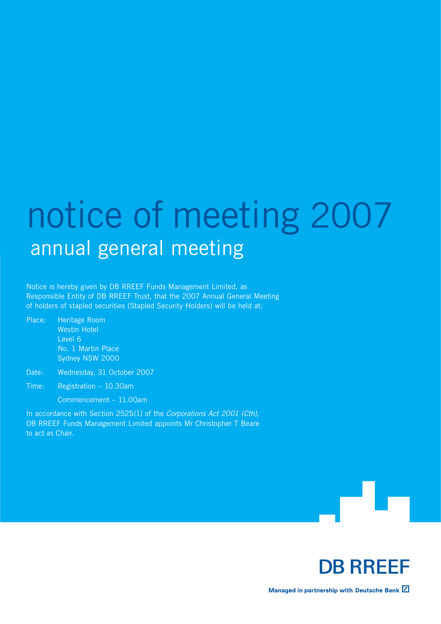# notice of meeting 2007 annual general meeting

Notice is hereby given by DB RREEF Funds Management Limited, as Responsible Entity of DB RREEF Trust, that the 2007 Annual General Meeting of holders of stapled securities (Stapled Security Holders) will be held at:

Place: Heritage Room Westin Hotel Level 6 No. 1 Martin Place Sydney NSW 2000

Date: Wednesday, 31 October 2007

Time: Registration – 10.30am Commencement – 11.00am

In accordance with Section 252S(1) of the *Corporations Act 2001 (Cth)*, DB RREEF Funds Management Limited appoints Mr Christopher T Beare to act as Chair.





Managed in partnership with Deutsche Bank  $\boxtimes$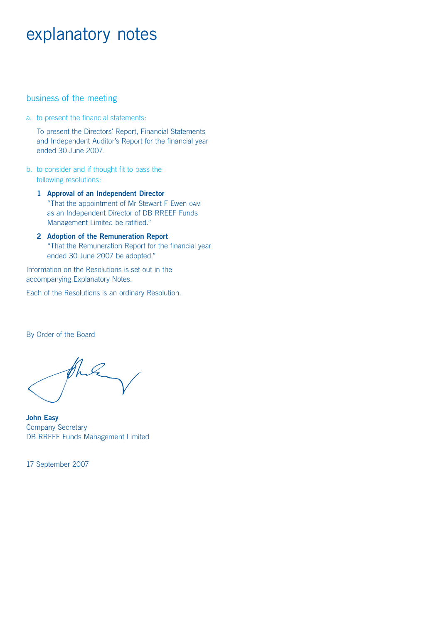# explanatory notes

### business of the meeting

a. to present the financial statements:

 To present the Directors' Report, Financial Statements and Independent Auditor's Report for the financial year ended 30 June 2007.

- b. to consider and if thought fit to pass the following resolutions:
	- **1 Approval of an Independent Director** "That the appointment of Mr Stewart F Ewen OAM as an Independent Director of DB RREEF Funds Management Limited be ratified."
	- **2 Adoption of the Remuneration Report** "That the Remuneration Report for the financial year ended 30 June 2007 be adopted."

Information on the Resolutions is set out in the accompanying Explanatory Notes.

Each of the Resolutions is an ordinary Resolution.

By Order of the Board

**John Easy** Company Secretary DB RREEF Funds Management Limited

17 September 2007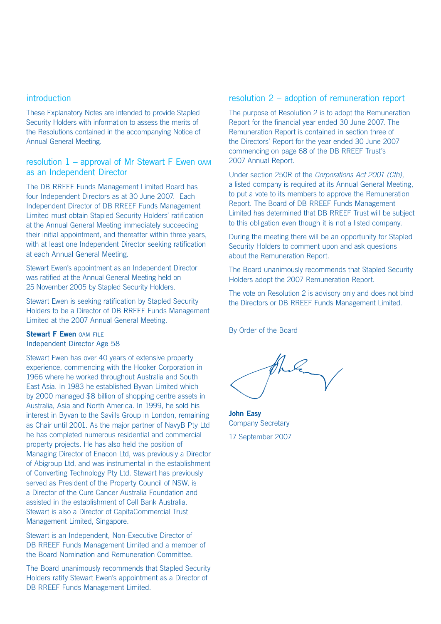#### introduction

These Explanatory Notes are intended to provide Stapled Security Holders with information to assess the merits of the Resolutions contained in the accompanying Notice of Annual General Meeting.

### resolution  $1$  – approval of Mr Stewart F Ewen  $0$ AM as an Independent Director

The DB RREEF Funds Management Limited Board has four Independent Directors as at 30 June 2007. Each Independent Director of DB RREEF Funds Management Limited must obtain Stapled Security Holders' ratification at the Annual General Meeting immediately succeeding their initial appointment, and thereafter within three years, with at least one Independent Director seeking ratification at each Annual General Meeting.

Stewart Ewen's appointment as an Independent Director was ratified at the Annual General Meeting held on 25 November 2005 by Stapled Security Holders.

Stewart Ewen is seeking ratification by Stapled Security Holders to be a Director of DB RREEF Funds Management Limited at the 2007 Annual General Meeting.

#### **Stewart F Ewen OAM FILE** Independent Director Age 58

Stewart Ewen has over 40 years of extensive property experience, commencing with the Hooker Corporation in 1966 where he worked throughout Australia and South East Asia. In 1983 he established Byvan Limited which by 2000 managed \$8 billion of shopping centre assets in Australia, Asia and North America. In 1999, he sold his interest in Byvan to the Savills Group in London, remaining as Chair until 2001. As the major partner of NavyB Pty Ltd he has completed numerous residential and commercial property projects. He has also held the position of Managing Director of Enacon Ltd, was previously a Director of Abigroup Ltd, and was instrumental in the establishment of Converting Technology Pty Ltd. Stewart has previously served as President of the Property Council of NSW, is a Director of the Cure Cancer Australia Foundation and assisted in the establishment of Cell Bank Australia. Stewart is also a Director of CapitaCommercial Trust Management Limited, Singapore.

Stewart is an Independent, Non-Executive Director of DB RREEF Funds Management Limited and a member of the Board Nomination and Remuneration Committee.

The Board unanimously recommends that Stapled Security Holders ratify Stewart Ewen's appointment as a Director of DB RREEF Funds Management Limited.

### resolution 2 – adoption of remuneration report

The purpose of Resolution 2 is to adopt the Remuneration Report for the financial year ended 30 June 2007. The Remuneration Report is contained in section three of the Directors' Report for the year ended 30 June 2007 commencing on page 68 of the DB RREEF Trust's 2007 Annual Report.

Under section 250R of the *Corporations Act 2001 (Cth)*, a listed company is required at its Annual General Meeting, to put a vote to its members to approve the Remuneration Report. The Board of DB RREEF Funds Management Limited has determined that DB RREEF Trust will be subject to this obligation even though it is not a listed company.

During the meeting there will be an opportunity for Stapled Security Holders to comment upon and ask questions about the Remuneration Report.

The Board unanimously recommends that Stapled Security Holders adopt the 2007 Remuneration Report.

The vote on Resolution 2 is advisory only and does not bind the Directors or DB RREEF Funds Management Limited.

By Order of the Board

**John Easy**  Company Secretary 17 September 2007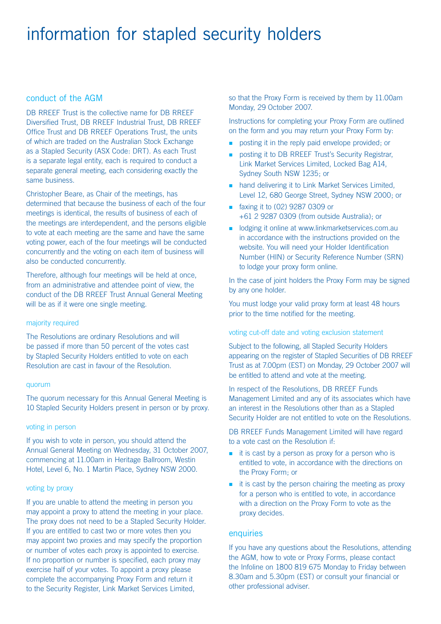# information for stapled security holders

### conduct of the AGM

DB RREEF Trust is the collective name for DB RREEF Diversified Trust, DB RREEF Industrial Trust, DB RREEF Office Trust and DB RREEF Operations Trust, the units of which are traded on the Australian Stock Exchange as a Stapled Security (ASX Code: DRT). As each Trust is a separate legal entity, each is required to conduct a separate general meeting, each considering exactly the same business.

Christopher Beare, as Chair of the meetings, has determined that because the business of each of the four meetings is identical, the results of business of each of the meetings are interdependent, and the persons eligible to vote at each meeting are the same and have the same voting power, each of the four meetings will be conducted concurrently and the voting on each item of business will also be conducted concurrently.

Therefore, although four meetings will be held at once, from an administrative and attendee point of view, the conduct of the DB RREEF Trust Annual General Meeting will be as if it were one single meeting.

#### majority required

The Resolutions are ordinary Resolutions and will be passed if more than 50 percent of the votes cast by Stapled Security Holders entitled to vote on each Resolution are cast in favour of the Resolution.

#### quorum

The quorum necessary for this Annual General Meeting is 10 Stapled Security Holders present in person or by proxy.

#### voting in person

If you wish to vote in person, you should attend the Annual General Meeting on Wednesday, 31 October 2007, commencing at 11.00am in Heritage Ballroom, Westin Hotel, Level 6, No. 1 Martin Place, Sydney NSW 2000.

#### voting by proxy

If you are unable to attend the meeting in person you may appoint a proxy to attend the meeting in your place. The proxy does not need to be a Stapled Security Holder. If you are entitled to cast two or more votes then you may appoint two proxies and may specify the proportion or number of votes each proxy is appointed to exercise. If no proportion or number is specified, each proxy may exercise half of your votes. To appoint a proxy please complete the accompanying Proxy Form and return it to the Security Register, Link Market Services Limited,

so that the Proxy Form is received by them by 11.00am Monday, 29 October 2007.

Instructions for completing your Proxy Form are outlined on the form and you may return your Proxy Form by:

- **posting it in the reply paid envelope provided; or**
- **n** posting it to DB RREEF Trust's Security Registrar, Link Market Services Limited, Locked Bag A14, Sydney South NSW 1235; or
- **n** hand delivering it to Link Market Services Limited, Level 12, 680 George Street, Sydney NSW 2000; or
- **n** faxing it to (02) 9287 0309 or +61 2 9287 0309 (from outside Australia); or
- odging it online at www.linkmarketservices.com.au in accordance with the instructions provided on the website. You will need your Holder Identification Number (HIN) or Security Reference Number (SRN) to lodge your proxy form online.

In the case of joint holders the Proxy Form may be signed by any one holder.

You must lodge your valid proxy form at least 48 hours prior to the time notified for the meeting.

#### voting cut-off date and voting exclusion statement

Subject to the following, all Stapled Security Holders appearing on the register of Stapled Securities of DB RREEF Trust as at 7.00pm (EST) on Monday, 29 October 2007 will be entitled to attend and vote at the meeting.

In respect of the Resolutions, DB RREEF Funds Management Limited and any of its associates which have an interest in the Resolutions other than as a Stapled Security Holder are not entitled to vote on the Resolutions.

DB RREEF Funds Management Limited will have regard to a vote cast on the Resolution if:

- $\blacksquare$  it is cast by a person as proxy for a person who is entitled to vote, in accordance with the directions on the Proxy Form; or
- $\blacksquare$  it is cast by the person chairing the meeting as proxy for a person who is entitled to vote, in accordance with a direction on the Proxy Form to vote as the proxy decides.

#### **enquiries**

If you have any questions about the Resolutions, attending the AGM, how to vote or Proxy Forms, please contact the Infoline on 1800 819 675 Monday to Friday between 8.30am and 5.30pm (EST) or consult your financial or other professional adviser.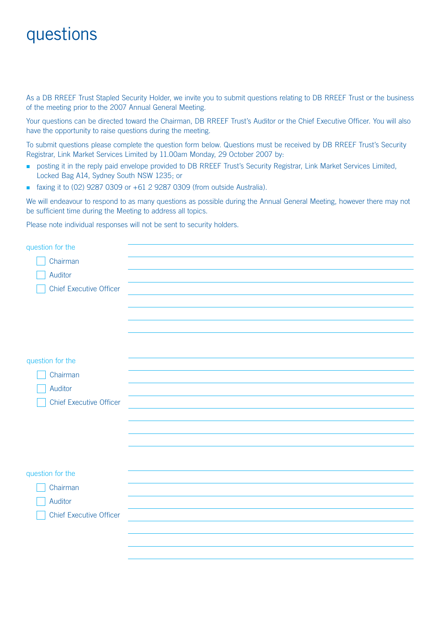# questions

As a DB RREEF Trust Stapled Security Holder, we invite you to submit questions relating to DB RREEF Trust or the business of the meeting prior to the 2007 Annual General Meeting.

Your questions can be directed toward the Chairman, DB RREEF Trust's Auditor or the Chief Executive Officer. You will also have the opportunity to raise questions during the meeting.

To submit questions please complete the question form below. Questions must be received by DB RREEF Trust's Security Registrar, Link Market Services Limited by 11.00am Monday, 29 October 2007 by:

- **•** posting it in the reply paid envelope provided to DB RREEF Trust's Security Registrar, Link Market Services Limited, Locked Bag A14, Sydney South NSW 1235; or
- $\blacksquare$  faxing it to (02) 9287 0309 or  $+61$  2 9287 0309 (from outside Australia).

We will endeavour to respond to as many questions as possible during the Annual General Meeting, however there may not be sufficient time during the Meeting to address all topics.

Please note individual responses will not be sent to security holders.

| question for the               |  |
|--------------------------------|--|
| Chairman                       |  |
| Auditor                        |  |
| <b>Chief Executive Officer</b> |  |
|                                |  |
|                                |  |
|                                |  |
|                                |  |
|                                |  |
| question for the               |  |
| Chairman                       |  |
| Auditor                        |  |
| <b>Chief Executive Officer</b> |  |
|                                |  |
|                                |  |
|                                |  |
|                                |  |
| question for the               |  |
| Chairman                       |  |
| Auditor                        |  |
|                                |  |
| <b>Chief Executive Officer</b> |  |
|                                |  |
|                                |  |
|                                |  |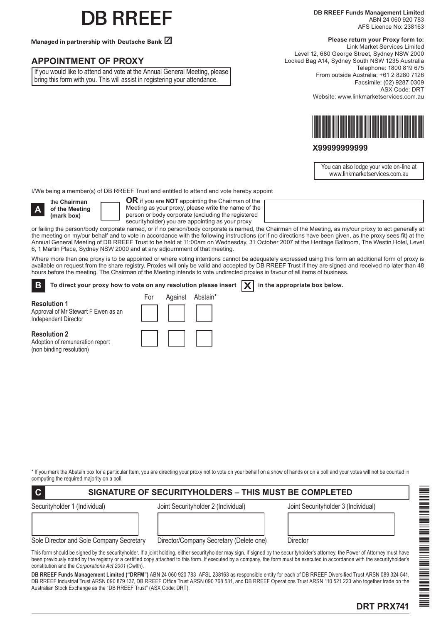# B RREEF

Managed in partnership with Deutsche Bank Z

### **APPOINTMENT OF PROXY**

If you would like to attend and vote at the Annual General Meeting, please bring this form with you. This will assist in registering your attendance.

#### **Please return your Proxy form to:**

Link Market Services Limited Level 12, 680 George Street, Sydney NSW 2000 Locked Bag A14, Sydney South NSW 1235 Australia Telephone: 1800 819 675 From outside Australia: +61 2 8280 7126 Facsimile: (02) 9287 0309 ASX Code: DRT Website: www.linkmarketservices.com.au



#### **X99999999999**

You can also lodge your vote on-line at www.linkmarketservices.com.au

I/We being a member(s) of DB RREEF Trust and entitled to attend and vote hereby appoint

**A**

(non binding resolution)

the **Chairman of the Meeting (mark box)**

**OR** if you are **NOT** appointing the Chairman of the Meeting as your proxy, please write the name of the person or body corporate (excluding the registered securityholder) you are appointing as your proxy

or failing the person/body corporate named, or if no person/body corporate is named, the Chairman of the Meeting, as my/our proxy to act generally at the meeting on my/our behalf and to vote in accordance with the following instructions (or if no directions have been given, as the proxy sees fit) at the Annual General Meeting of DB RREEF Trust to be held at 11:00am on Wednesday, 31 October 2007 at the Heritage Ballroom, The Westin Hotel, Level 6, 1 Martin Place, Sydney NSW 2000 and at any adjournment of that meeting.

Where more than one proxy is to be appointed or where voting intentions cannot be adequately expressed using this form an additional form of proxy is available on request from the share registry. Proxies will only be valid and accepted by DB RREEF Trust if they are signed and received no later than 48 hours before the meeting. The Chairman of the Meeting intends to vote undirected proxies in favour of all items of business.

To direct your proxy how to vote on any resolution please insert  $\boxed{\mathbf{X}}$  in the appropriate box below. **B**

**Resolution 1** Approval of Mr Stewart F Ewen as an Independent Director **Resolution 2** Adoption of remuneration report For Against Abstain\*

\* If you mark the Abstain box for a particular Item, you are directing your proxy not to vote on your behalf on a show of hands or on a poll and your votes will not be counted in computing the required majority on a poll.

| $\overline{C}$<br><b>SIGNATURE OF SECURITYHOLDERS - THIS MUST BE COMPLETED</b> |                                     |                                     |  |
|--------------------------------------------------------------------------------|-------------------------------------|-------------------------------------|--|
| Securityholder 1 (Individual)                                                  | Joint Securityholder 2 (Individual) | Joint Securityholder 3 (Individual) |  |
|                                                                                |                                     |                                     |  |
|                                                                                |                                     |                                     |  |

Sole Director and Sole Company Secretary Director/Company Secretary (Delete one) Director

This form should be signed by the securityholder. If a joint holding, either securityholder may sign. If signed by the securityholder's attorney, the Power of Attorney must have been previously noted by the registry or a certified copy attached to this form. If executed by a company, the form must be executed in accordance with the securityholder's constitution and the *Corporations Act 2001* (Cwlth).

**DB RREEF Funds Management Limited ("DRFM")** ABN 24 060 920 783 AFSL 238163 as responsible entity for each of DB RREEF Diversified Trust ARSN 089 324 541, DB RREEF Industrial Trust ARSN 090 879 137, DB RREEF Office Trust ARSN 090 768 531, and DB RREEF Operations Trust ARSN 110 521 223 who together trade on the Australian Stock Exchange as the "DB RREEF Trust" (ASX Code: DRT).



# **DRT PRX741**